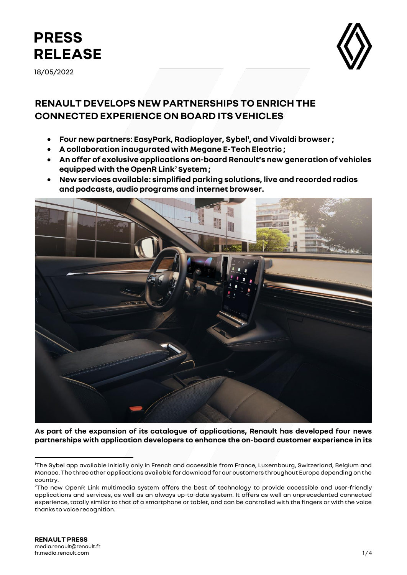

18/05/2022



# **RENAULT DEVELOPS NEW PARTNERSHIPS TO ENRICH THE CONNECTED EXPERIENCE ON BOARD ITS VEHICLES**

- **Four new partners: EasyPark, Radioplayer, Sybel<sup>1</sup> , and Vivaldi browser ;**
- **A collaboration inaugurated with Megane E-Tech Electric ;**
- **An offer of exclusive applications on-board Renault's new generation of vehicles equipped with the OpenR Link**<sup>2</sup> **System ;**
- **New services available: simplified parking solutions, live and recorded radios and podcasts, audio programs and internet browser.**



**As part of the expansion of its catalogue of applications, Renault has developed four news partnerships with application developers to enhance the on-board customer experience in its** 

<sup>1</sup>The Sybel app available initially only in French and accessible from France, Luxembourg, Switzerland, Belgium and Monaco. The three other applications available for download for our customers throughout Europe depending on the country.

<sup>&</sup>lt;sup>2</sup>The new OpenR Link multimedia system offers the best of technology to provide accessible and user-friendly applications and services, as well as an always up-to-date system. It offers as well an unprecedented connected experience, totally similar to that of a smartphone or tablet, and can be controlled with the fingers or with the voice thanks to voice recognition.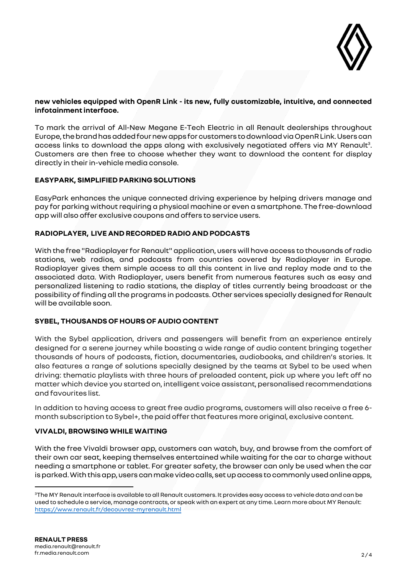

# **new vehicles equipped with OpenR Link - its new, fully customizable, intuitive, and connected infotainment interface.**

To mark the arrival of All-New Megane E-Tech Electric in all Renault dealerships throughout Europe, the brandhas added four new apps for customers to download via OpenR Link. Users can access links to download the apps along with exclusively negotiated offers via MY Renault<sup>3</sup>. Customers are then free to choose whether they want to download the content for display directly in their in-vehicle media console.

# **EASYPARK, SIMPLIFIED PARKING SOLUTIONS**

EasyPark enhances the unique connected driving experience by helping drivers manage and pay for parking without requiring a physical machine or even a smartphone. The free-download app will also offer exclusive coupons and offers to service users.

## **RADIOPLAYER, LIVE AND RECORDED RADIO AND PODCASTS**

With the free "Radioplayer for Renault" application, users will have access to thousands of radio stations, web radios, and podcasts from countries covered by Radioplayer in Europe. Radioplayer gives them simple access to all this content in live and replay mode and to the associated data. With Radioplayer, users benefit from numerous features such as easy and personalized listening to radio stations, the display of titles currently being broadcast or the possibility of finding all the programs in podcasts. Other services specially designed for Renault will be available soon.

# **SYBEL, THOUSANDS OF HOURS OF AUDIO CONTENT**

With the Sybel application, drivers and passengers will benefit from an experience entirely designed for a serene journey while boasting a wide range of audio content bringing together thousands of hours of podcasts, fiction, documentaries, audiobooks, and children's stories. It also features a range of solutions specially designed by the teams at Sybel to be used when driving: thematic playlists with three hours of preloaded content, pick up where you left off no matter which device you started on, intelligent voice assistant, personalised recommendations and favourites list.

In addition to having access to great free audio programs, customers will also receive a free 6 month subscription to Sybel+, the paid offer that features more original, exclusive content.

# **VIVALDI, BROWSING WHILE WAITING**

With the free Vivaldi browser app, customers can watch, buy, and browse from the comfort of their own car seat, keeping themselves entertained while waiting for the car to charge without needing a smartphone or tablet. For greater safety, the browser can only be used when the car is parked.With this app, users can make video calls, set up access to commonly used online apps,

 $3$ The MY Renault interface is available to all Renault customers. It provides easy access to vehicle data and can be used to schedule a service, manage contracts, or speak with an expert at any time. Learn more about MY Renault: <https://www.renault.fr/decouvrez-myrenault.html>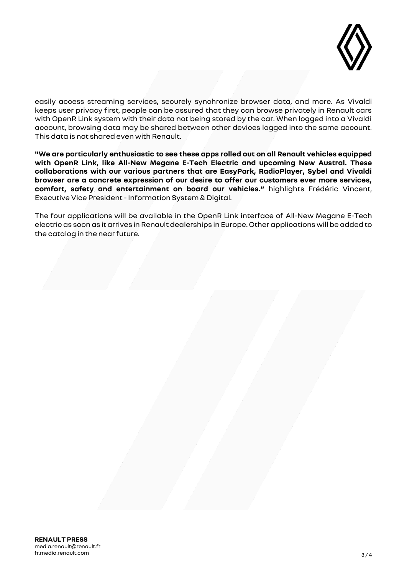

easily access streaming services, securely synchronize browser data, and more. As Vivaldi keeps user privacy first, people can be assured that they can browse privately in Renault cars with OpenR Link system with their data not being stored by the car. When logged into a Vivaldi account, browsing data may be shared between other devices logged into the same account. This data is not shared even with Renault.

**"We are particularly enthusiastic to see these apps rolled out on all Renault vehicles equipped with OpenR Link, like All-New Megane E-Tech Electric and upcoming New Austral. These collaborations with our various partners that are EasyPark, RadioPlayer, Sybel and Vivaldi browser are a concrete expression of our desire to offer our customers ever more services, comfort, safety and entertainment on board our vehicles."** highlights Frédéric Vincent, Executive Vice President - Information System & Digital.

The four applications will be available in the OpenR Link interface of All-New Megane E-Tech electric as soon as it arrives in Renault dealerships in Europe. Other applications will be added to the catalog in the near future.